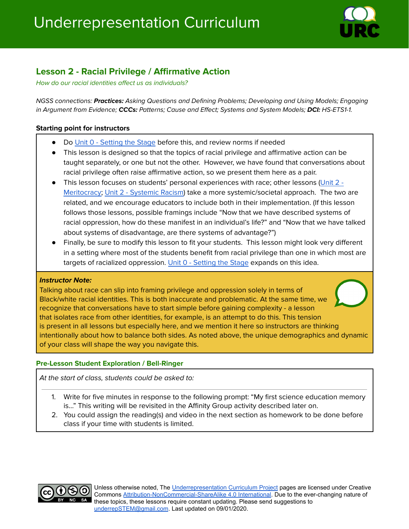

# **Lesson 2 - Racial Privilege / Affirmative Action**

How do our racial identities affect us as individuals?

NGSS connections: **Practices:** Asking Questions and Defining Problems; Developing and Using Models; Engaging in Argument from Evidence; **CCCs:** Patterns; Cause and Effect; Systems and System Models; **DCI:** HS-ETS1-1.

## **Starting point for instructors**

- Do Unit 0 [Setting](http://underrep.com/lessons/0-Lesson0.pdf) the Stage before this, and review norms if needed
- This lesson is designed so that the topics of racial privilege and affirmative action can be taught separately, or one but not the other. However, we have found that conversations about racial privilege often raise affirmative action, so we present them here as a pair.
- This lesson focuses on students' personal experiences with race; other lessons ([Unit](http://underrep.com/lessons/2-Meritocracy.pdf) 2 -[Meritocracy;](http://underrep.com/lessons/2-Meritocracy.pdf) Unit 2 - [Systemic](http://underrep.com/lessons/2-SystemicRacism.pdf) Racism) take a more systemic/societal approach. The two are related, and we encourage educators to include both in their implementation. (If this lesson follows those lessons, possible framings include "Now that we have described systems of racial oppression, how do these manifest in an individual's life?" and "Now that we have talked about systems of disadvantage, are there systems of advantage?")
- Finally, be sure to modify this lesson to fit your students. This lesson might look very different in a setting where most of the students benefit from racial privilege than one in which most are targets of racialized oppression. Unit 0 - [Setting](http://underrep.com/lessons/0-Lesson0.pdf) the Stage expands on this idea.

#### **Instructor Note:**

Talking about race can slip into framing privilege and oppression solely in terms of Black/white racial identities. This is both inaccurate and problematic. At the same time, we recognize that conversations have to start simple before gaining complexity - a lesson that isolates race from other identities, for example, is an attempt to do this. This tension is present in all lessons but especially here, and we mention it here so instructors are thinking intentionally about how to balance both sides. As noted above, the unique demographics and dynamic of your class will shape the way you navigate this.

# **Pre-Lesson Student Exploration / Bell-Ringer**

At the start of class, students could be asked to:

- 1. Write for five minutes in response to the following prompt: "My first science education memory is…" This writing will be revisited in the Affinity Group activity described later on.
- 2. You could assign the reading(s) and video in the next section as homework to be done before class if your time with students is limited.



Unless otherwise noted, The [Underrepresentation Curriculum](https://underrep.com/) Project pages are licensed under Creative Commons [Attribution-NonCommercial-ShareAlike 4.0 International](https://creativecommons.org/licenses/by-nc-sa/4.0/). Due to the ever-changing nature of these topics, these lessons require constant updating. Please send suggestions to [underrepSTEM@gmail.com](mailto:underrepSTEM@gmail.com). Last updated on 09/01/2020.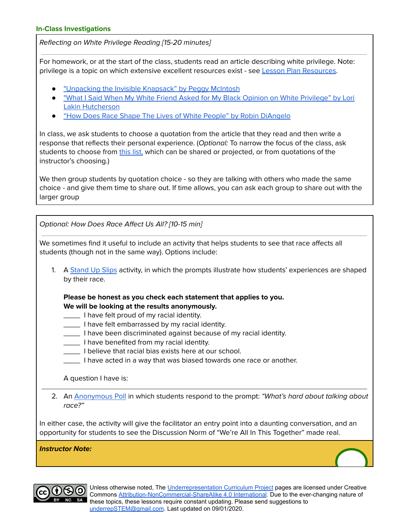Reflecting on White Privilege Reading [15-20 minutes]

For homework, or at the start of the class, students read an article describing white privilege. Note: privilege is a topic on which extensive excellent resources exist - see Lesson Plan [Resources](https://docs.google.com/document/d/1spYdXYyaOiOSJF0kQZ1XJxn_-EbWFxW7kezSsSPQkJg/edit#heading=h.wr09lkkbf6fl).

- ["Unpacking](https://psychology.umbc.edu/files/2016/10/White-Privilege_McIntosh-1989.pdf) the Invisible Knapsack" by Peggy McIntosh
- "What I Said When My White Friend Asked for My Black Opinion on White [Privilege"](https://goodblacknews.org/2016/07/14/editorial-what-i-said-when-my-white-friend-asked-for-my-black-opinion-on-white-privilege/) by Lori Lakin [Hutcherson](https://goodblacknews.org/2016/07/14/editorial-what-i-said-when-my-white-friend-asked-for-my-black-opinion-on-white-privilege/)
- "How Does Race Shape The Lives of White People" by Robin [DiAngelo](https://drive.google.com/file/d/1Frd8GDy0ymyKDFt39tK5xCh6XK8GKm3j/view?usp=sharing)

In class, we ask students to choose a quotation from the article that they read and then write a response that reflects their personal experience. (Optional: To narrow the focus of the class, ask students to choose from [this](https://docs.google.com/document/d/1Fw9AK-Sp0BIN8peslM08wGIwUGV2CHS9XYufWqTo1Js/edit?usp=sharing) list, which can be shared or projected, or from quotations of the instructor's choosing.)

We then group students by quotation choice - so they are talking with others who made the same choice - and give them time to share out. If time allows, you can ask each group to share out with the larger group

Optional: How Does Race Affect Us All? [10-15 min]

We sometimes find it useful to include an activity that helps students to see that race affects all students (though not in the same way). Options include:

1. A [Stand](https://docs.google.com/document/d/1YfzoT1KccTlEVdvCO8QBqZ1HpoIVRwbzfomewf92quE/edit#bookmark=id.82e5nmzhdbvg) Up Slips activity, in which the prompts illustrate how students' experiences are shaped by their race.

**Please be honest as you check each statement that applies to you. We will be looking at the results anonymously.**

- **\_\_\_\_** I have felt proud of my racial identity.
- **Thank** 1 have felt embarrassed by my racial identity.
- \_\_\_\_ I have been discriminated against because of my racial identity.
- \_\_\_\_ I have benefited from my racial identity.
- \_\_\_\_ I believe that racial bias exists here at our school.
- \_\_\_\_ I have acted in a way that was biased towards one race or another.

A question I have is:

2. An [Anonymous](https://docs.google.com/document/d/1YfzoT1KccTlEVdvCO8QBqZ1HpoIVRwbzfomewf92quE/edit#bookmark=id.z2tzazp356jq) Poll in which students respond to the prompt: "What's hard about talking about race?"

In either case, the activity will give the facilitator an entry point into a daunting conversation, and an opportunity for students to see the Discussion Norm of "We're All In This Together" made real.

**Instructor Note:**



Unless otherwise noted, The *[Underrepresentation Curriculum](https://underrep.com/) Project* pages are licensed under Creative Commons [Attribution-NonCommercial-ShareAlike 4.0 International](https://creativecommons.org/licenses/by-nc-sa/4.0/). Due to the ever-changing nature of these topics, these lessons require constant updating. Please send suggestions to [underrepSTEM@gmail.com](mailto:underrepSTEM@gmail.com). Last updated on 09/01/2020.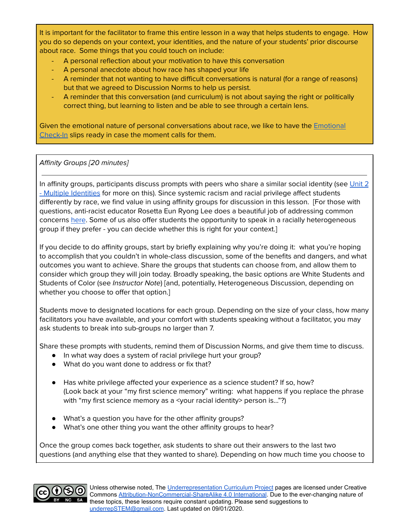It is important for the facilitator to frame this entire lesson in a way that helps students to engage. How you do so depends on your context, your identities, and the nature of your students' prior discourse about race. Some things that you could touch on include:

- A personal reflection about your motivation to have this conversation
- A personal anecdote about how race has shaped your life
- A reminder that not wanting to have difficult conversations is natural (for a range of reasons) but that we agreed to Discussion Norms to help us persist.
- A reminder that this conversation (and curriculum) is not about saying the right or politically correct thing, but learning to listen and be able to see through a certain lens.

Given the emotional nature of personal conversations about race, we like to have the [Emotional](https://docs.google.com/document/d/1YfzoT1KccTlEVdvCO8QBqZ1HpoIVRwbzfomewf92quE/edit#heading=h.ateem9lny3p5) [Check-In](https://docs.google.com/document/d/1YfzoT1KccTlEVdvCO8QBqZ1HpoIVRwbzfomewf92quE/edit#heading=h.ateem9lny3p5) slips ready in case the moment calls for them.

# Affinity Groups [20 minutes]

In affinity groups, participants discuss prompts with peers who share a similar social identity (see [Unit](http://underrep.com/lessons/2-MultipleIdentities.pdf) 2 - Multiple [Identities](http://underrep.com/lessons/2-MultipleIdentities.pdf) for more on this). Since systemic racism and racial privilege affect students differently by race, we find value in using affinity groups for discussion in this lesson. [For those with questions, anti-racist educator Rosetta Eun Ryong Lee does a beautiful job of addressing common concerns [here](https://sites.google.com/a/sgs-wa.org/sgsprofessionaloutreach/Affinity_Group_FAQ.pdf?attredirects=0&d=1). Some of us also offer students the opportunity to speak in a racially heterogeneous group if they prefer - you can decide whether this is right for your context.]

If you decide to do affinity groups, start by briefly explaining why you're doing it: what you're hoping to accomplish that you couldn't in whole-class discussion, some of the benefits and dangers, and what outcomes you want to achieve. Share the groups that students can choose from, and allow them to consider which group they will join today. Broadly speaking, the basic options are White Students and Students of Color (see Instructor Note) [and, potentially, Heterogeneous Discussion, depending on whether you choose to offer that option.]

Students move to designated locations for each group. Depending on the size of your class, how many facilitators you have available, and your comfort with students speaking without a facilitator, you may ask students to break into sub-groups no larger than 7.

Share these prompts with students, remind them of Discussion Norms, and give them time to discuss.

- In what way does a system of racial privilege hurt your group?
- What do you want done to address or fix that?
- Has white privilege affected your experience as a science student? If so, how? (Look back at your "my first science memory" writing: what happens if you replace the phrase with "my first science memory as a <your racial identity> person is..."?)
- What's a question you have for the other affinity groups?
- What's one other thing you want the other affinity groups to hear?

Once the group comes back together, ask students to share out their answers to the last two questions (and anything else that they wanted to share). Depending on how much time you choose to

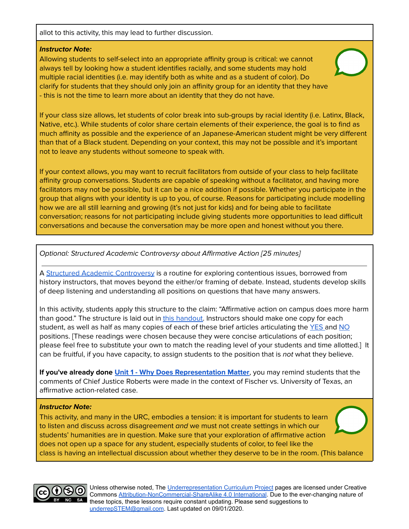allot to this activity, this may lead to further discussion.

#### **Instructor Note:**

Allowing students to self-select into an appropriate affinity group is critical: we cannot always tell by looking how a student identifies racially, and some students may hold multiple racial identities (i.e. may identify both as white and as a student of color). Do clarify for students that they should only join an affinity group for an identity that they have - this is not the time to learn more about an identity that they do not have.

If your class size allows, let students of color break into sub-groups by racial identity (i.e. Latinx, Black, Native, etc.). While students of color share certain elements of their experience, the goal is to find as much affinity as possible and the experience of an Japanese-American student might be very different than that of a Black student. Depending on your context, this may not be possible and it's important not to leave any students without someone to speak with.

If your context allows, you may want to recruit facilitators from outside of your class to help facilitate affinity group conversations. Students are capable of speaking without a facilitator, and having more facilitators may not be possible, but it can be a nice addition if possible. Whether you participate in the group that aligns with your identity is up to you, of course. Reasons for participating include modelling how we are all still learning and growing (it's not just for kids) and for being able to facilitate conversation; reasons for not participating include giving students more opportunities to lead difficult conversations and because the conversation may be more open and honest without you there.

Optional: Structured Academic Controversy about Affirmative Action [25 minutes]

A Structured Academic [Controversy](https://teachinghistory.org/teaching-materials/teaching-guides/21731) is a routine for exploring contentious issues, borrowed from history instructors, that moves beyond the either/or framing of debate. Instead, students develop skills of deep listening and understanding all positions on questions that have many answers.

In this activity, students apply this structure to the claim: "Affirmative action on campus does more harm than good." The structure is laid out in this [handout.](https://docs.google.com/document/d/1qffwVnZObDAY0PFdXQ_zATZtxEjY9A8uAw54NfS2vHI/edit?usp=sharing) Instructors should make one copy for each student, as well as half as many copies of each of these brief articles articulating the [YES](https://ideas.time.com/2012/10/12/why-we-still-need-affirmative-action/) and [NO](https://stanfordmag.org/contents/the-case-against-affirmative-action) positions. [These readings were chosen because they were concise articulations of each position; please feel free to substitute your own to match the reading level of your students and time allotted.] It can be fruitful, if you have capacity, to assign students to the position that is not what they believe.

**If you've already done Unit 1 - Why Does [Representation](http://underrep.com/lessons/1-WhyDoesRepMatter.pdf) Matter**, you may remind students that the comments of Chief Justice Roberts were made in the context of Fischer vs. University of Texas, an affirmative action-related case.

#### **Instructor Note:**

This activity, and many in the URC, embodies a tension: it is important for students to learn to listen and discuss across disagreement and we must not create settings in which our students' humanities are in question. Make sure that your exploration of affirmative action does not open up a space for any student, especially students of color, to feel like the class is having an intellectual discussion about whether they deserve to be in the room. (This balance



Unless otherwise noted, The *[Underrepresentation Curriculum](https://underrep.com/) Project* pages are licensed under Creative Commons [Attribution-NonCommercial-ShareAlike 4.0 International](https://creativecommons.org/licenses/by-nc-sa/4.0/). Due to the ever-changing nature of these topics, these lessons require constant updating. Please send suggestions to [underrepSTEM@gmail.com](mailto:underrepSTEM@gmail.com). Last updated on 09/01/2020.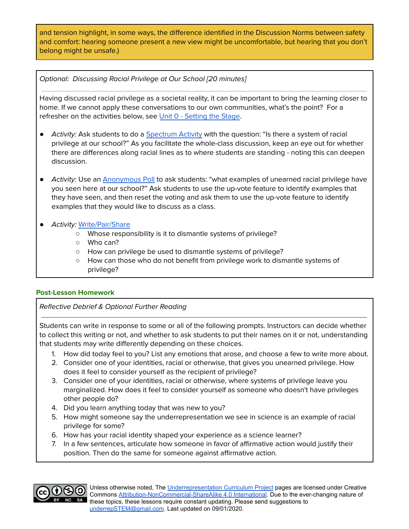and tension highlight, in some ways, the difference identified in the Discussion Norms between safety and comfort: hearing someone present a new view might be uncomfortable, but hearing that you don't belong might be unsafe.)

Optional: Discussing Racial Privilege at Our School [20 minutes]

Having discussed racial privilege as a societal reality, it can be important to bring the learning closer to home. If we cannot apply these conversations to our own communities, what's the point? For a refresher on the activities below, see Unit 0 - [Setting](http://underrep.com/lessons/0-Lesson0.pdf) the Stage.

- Activity: Ask students to do a [Spectrum](https://docs.google.com/document/d/1YfzoT1KccTlEVdvCO8QBqZ1HpoIVRwbzfomewf92quE/edit#heading=h.vlpa5xqu29yp) Activity with the question: "Is there a system of racial privilege at our school?" As you facilitate the whole-class discussion, keep an eye out for whether there are differences along racial lines as to where students are standing - noting this can deepen discussion.
- Activity: Use an [Anonymous](https://docs.google.com/document/d/1YfzoT1KccTlEVdvCO8QBqZ1HpoIVRwbzfomewf92quE/edit#heading=h.505sdx6g7lft) Poll to ask students: "what examples of unearned racial privilege have you seen here at our school?" Ask students to use the up-vote feature to identify examples that they have seen, and then reset the voting and ask them to use the up-vote feature to identify examples that they would like to discuss as a class.
- *●* Activity: [Write/Pair/Share](https://docs.google.com/document/d/1YfzoT1KccTlEVdvCO8QBqZ1HpoIVRwbzfomewf92quE/edit#heading=h.cu5obj8ymw00)
	- *○* Whose responsibility is it to dismantle systems of privilege?
	- *○* Who can?
	- *○* How can privilege be used to dismantle systems of privilege?
	- *○* How can those who do not benefit from privilege work to dismantle systems of privilege?

#### **Post-Lesson Homework**

Reflective Debrief & Optional Further Reading

Students can write in response to some or all of the following prompts. Instructors can decide whether to collect this writing or not, and whether to ask students to put their names on it or not, understanding that students may write differently depending on these choices.

- 1. How did today feel to you? List any emotions that arose, and choose a few to write more about.
- 2. Consider one of your identities, racial or otherwise, that gives you unearned privilege. How does it feel to consider yourself as the recipient of privilege?
- 3. Consider one of your identities, racial or otherwise, where systems of privilege leave you marginalized. How does it feel to consider yourself as someone who doesn't have privileges other people do?
- 4. Did you learn anything today that was new to you?
- 5. How might someone say the underrepresentation we see in science is an example of racial privilege for some?
- 6. How has your racial identity shaped your experience as a science learner?
- 7. In a few sentences, articulate how someone in favor of affirmative action would justify their position. Then do the same for someone against affirmative action.